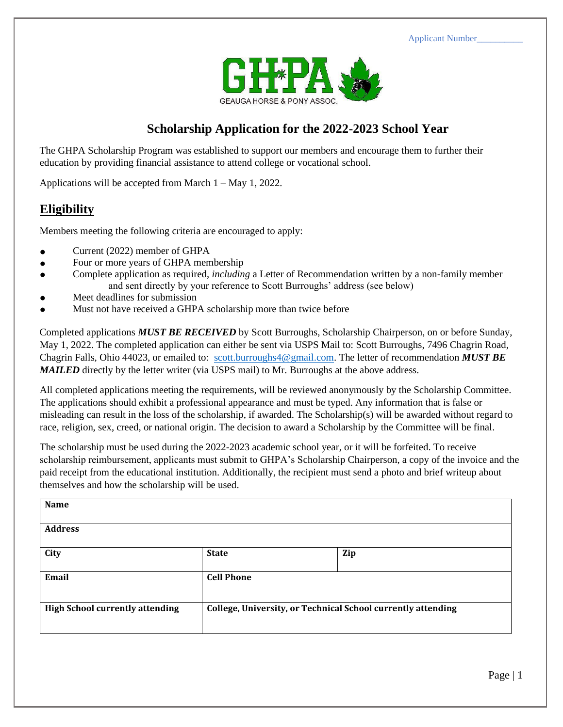Applicant Number\_\_\_\_\_\_\_\_\_\_



## **Scholarship Application for the 2022-2023 School Year**

The GHPA Scholarship Program was established to support our members and encourage them to further their education by providing financial assistance to attend college or vocational school.

Applications will be accepted from March 1 – May 1, 2022.

## **Eligibility**

Members meeting the following criteria are encouraged to apply:

- Current (2022) member of GHPA
- Four or more years of GHPA membership
- Complete application as required, *including* a Letter of Recommendation written by a non-family member and sent directly by your reference to Scott Burroughs' address (see below)
- Meet deadlines for submission
- Must not have received a GHPA scholarship more than twice before

Completed applications *MUST BE RECEIVED* by Scott Burroughs, Scholarship Chairperson, on or before Sunday, May 1, 2022. The completed application can either be sent via USPS Mail to: Scott Burroughs, 7496 Chagrin Road, Chagrin Falls, Ohio 44023, or emailed to: [scott.burroughs4@gmail.com.](mailto:scott.burroughs4@gmail.com) The letter of recommendation *MUST BE MAILED* directly by the letter writer (via USPS mail) to Mr. Burroughs at the above address.

All completed applications meeting the requirements, will be reviewed anonymously by the Scholarship Committee. The applications should exhibit a professional appearance and must be typed. Any information that is false or misleading can result in the loss of the scholarship, if awarded. The Scholarship(s) will be awarded without regard to race, religion, sex, creed, or national origin. The decision to award a Scholarship by the Committee will be final.

The scholarship must be used during the 2022-2023 academic school year, or it will be forfeited. To receive scholarship reimbursement, applicants must submit to GHPA's Scholarship Chairperson, a copy of the invoice and the paid receipt from the educational institution. Additionally, the recipient must send a photo and brief writeup about themselves and how the scholarship will be used.

| Name                                   |                                                              |     |  |  |
|----------------------------------------|--------------------------------------------------------------|-----|--|--|
| <b>Address</b>                         |                                                              |     |  |  |
| City                                   | <b>State</b>                                                 | Zip |  |  |
| Email                                  | <b>Cell Phone</b>                                            |     |  |  |
| <b>High School currently attending</b> | College, University, or Technical School currently attending |     |  |  |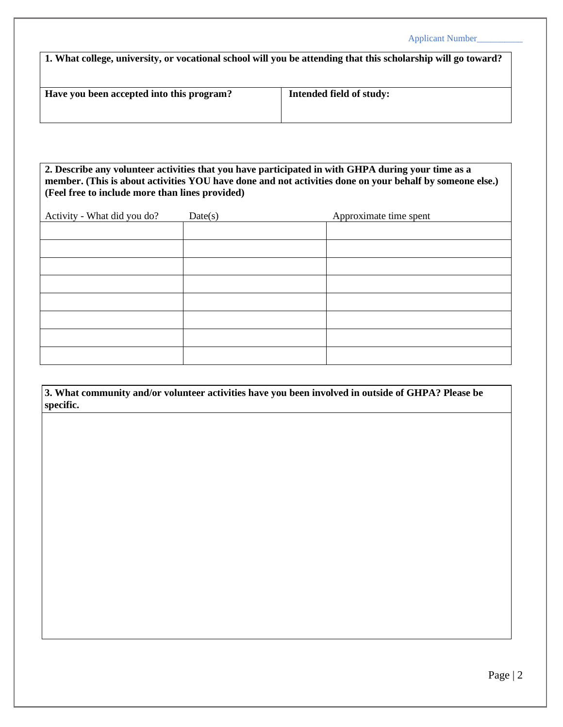|                                                                                                               | <b>Applicant Number</b>  |  |  |  |
|---------------------------------------------------------------------------------------------------------------|--------------------------|--|--|--|
| 1. What college, university, or vocational school will you be attending that this scholarship will go toward? |                          |  |  |  |
|                                                                                                               |                          |  |  |  |
|                                                                                                               |                          |  |  |  |
| Have you been accepted into this program?                                                                     | Intended field of study: |  |  |  |

**2. Describe any volunteer activities that you have participated in with GHPA during your time as a member. (This is about activities YOU have done and not activities done on your behalf by someone else.) (Feel free to include more than lines provided)**

| Activity - What did you do? | Date(s) | Approximate time spent |
|-----------------------------|---------|------------------------|
|                             |         |                        |
|                             |         |                        |
|                             |         |                        |
|                             |         |                        |
|                             |         |                        |
|                             |         |                        |
|                             |         |                        |
|                             |         |                        |
|                             |         |                        |

**3. What community and/or volunteer activities have you been involved in outside of GHPA? Please be specific.**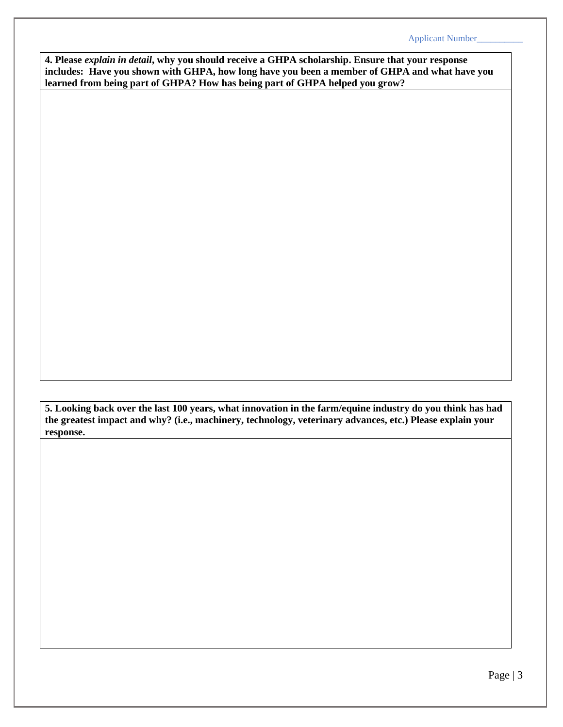**4. Please** *explain in detail***, why you should receive a GHPA scholarship. Ensure that your response includes: Have you shown with GHPA, how long have you been a member of GHPA and what have you learned from being part of GHPA? How has being part of GHPA helped you grow?** 

**5. Looking back over the last 100 years, what innovation in the farm/equine industry do you think has had the greatest impact and why? (i.e., machinery, technology, veterinary advances, etc.) Please explain your response.**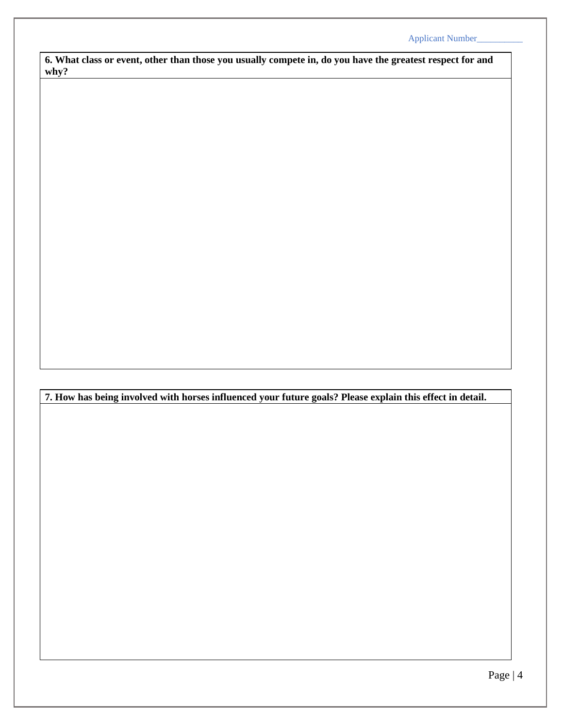**6. What class or event, other than those you usually compete in, do you have the greatest respect for and why?**

**7. How has being involved with horses influenced your future goals? Please explain this effect in detail.**